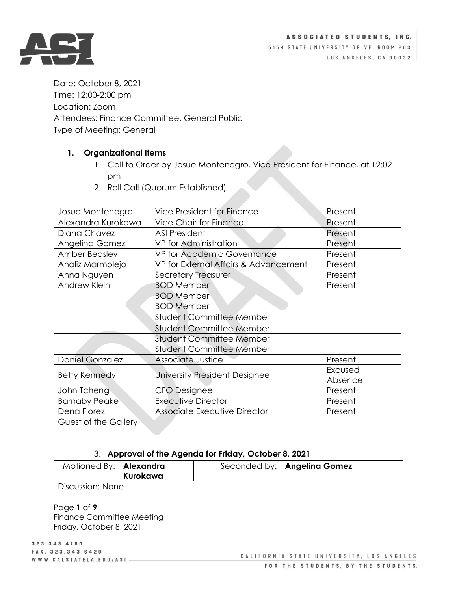



5154 STATE UNIVERSITY DRIVE. ROOM 203 LOS ANGELES, CA 90032

Date: October 8, 2021 Time: 12:00-2:00 pm Location: Zoom Attendees: Finance Committee, General Public Type of Meeting: General

# **1. Organizational Items**

- 1. Call to Order by Josue Montenegro, Vice President for Finance, at 12:02 pm
- 2. Roll Call (Quorum Established)

| Josue Montenegro            | Vice President for Finance            | Present |
|-----------------------------|---------------------------------------|---------|
| Alexandra Kurokawa          | <b>Vice Chair for Finance</b>         | Present |
| Diana Chavez                | <b>ASI President</b>                  | Present |
| Angelina Gomez              | VP for Administration                 | Present |
| <b>Amber Beasley</b>        | VP for Academic Governance            | Present |
| Analiz Marmolejo            | VP for External Affairs & Advancement | Present |
| Anna Nguyen                 | <b>Secretary Treasurer</b>            | Present |
| Andrew Klein                | <b>BOD Member</b>                     | Present |
|                             | <b>BOD Member</b>                     |         |
|                             | <b>BOD Member</b>                     |         |
|                             | <b>Student Committee Member</b>       |         |
|                             | <b>Student Committee Member</b>       |         |
|                             | <b>Student Committee Member</b>       |         |
|                             | <b>Student Committee Member</b>       |         |
| <b>Daniel Gonzalez</b>      | Associate Justice                     | Present |
| <b>Betty Kennedy</b>        | University President Designee         | Excused |
|                             |                                       | Absence |
| John Tcheng                 | <b>CFO Designee</b>                   | Present |
| <b>Barnaby Peake</b>        | <b>Executive Director</b>             | Present |
| Dena Florez                 | <b>Associate Executive Director</b>   | Present |
| <b>Guest of the Gallery</b> |                                       |         |
|                             |                                       |         |

# 3. **Approval of the Agenda for Friday, October 8, 2021**

| Motioned By:   Alexandra | Kurokawa | Seconded by:   Angelina Gomez |
|--------------------------|----------|-------------------------------|
| Discussion: None         |          |                               |

Page **1** of **9** Finance Committee Meeting Friday, October 8, 2021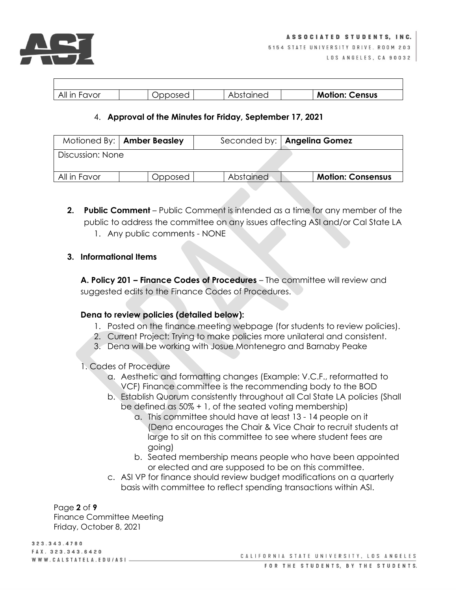

| All in Favor | ∩פא∩ו | ained:<br>ΑI<br><b>SIC</b><br>ں س | <b>Motion:</b><br>: Census |
|--------------|-------|-----------------------------------|----------------------------|
|              |       |                                   |                            |

# 4. **Approval of the Minutes for Friday, September 17, 2021**

|                  | Motioned By:   Amber Beasley |           | Seconded by:   Angelina Gomez |                          |  |
|------------------|------------------------------|-----------|-------------------------------|--------------------------|--|
| Discussion: None |                              |           |                               |                          |  |
| All in Favor     | Opposed                      | Abstained |                               | <b>Motion: Consensus</b> |  |

**2. Public Comment** – Public Comment is intended as a time for any member of the public to address the committee on any issues affecting ASI and/or Cal State LA 1. Any public comments - NONE

### **3. Informational Items**

**A. Policy 201 – Finance Codes of Procedures** – The committee will review and suggested edits to the Finance Codes of Procedures.

#### **Dena to review policies (detailed below):**

- 1. Posted on the finance meeting webpage (for students to review policies).
- 2. Current Project: Trying to make policies more unilateral and consistent.
- 3. Dena will be working with Josue Montenegro and Barnaby Peake

1. Codes of Procedure

- a. Aesthetic and formatting changes (Example: V.C.F., reformatted to VCF) Finance committee is the recommending body to the BOD
- b. Establish Quorum consistently throughout all Cal State LA policies (Shall be defined as 50% + 1, of the seated voting membership)
	- a. This committee should have at least 13 14 people on it (Dena encourages the Chair & Vice Chair to recruit students at large to sit on this committee to see where student fees are going)
	- b. Seated membership means people who have been appointed or elected and are supposed to be on this committee.
- c. ASI VP for finance should review budget modifications on a quarterly basis with committee to reflect spending transactions within ASI.

Page **2** of **9** Finance Committee Meeting Friday, October 8, 2021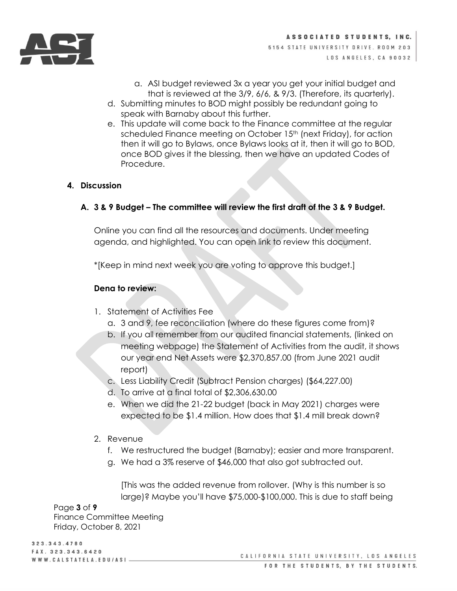

- a. ASI budget reviewed 3x a year you get your initial budget and that is reviewed at the 3/9, 6/6, & 9/3. (Therefore, its quarterly).
- d. Submitting minutes to BOD might possibly be redundant going to speak with Barnaby about this further.
- e. This update will come back to the Finance committee at the regular scheduled Finance meeting on October 15<sup>th</sup> (next Friday), for action then it will go to Bylaws, once Bylaws looks at it, then it will go to BOD, once BOD gives it the blessing, then we have an updated Codes of Procedure.

# **4. Discussion**

**A. 3 & 9 Budget – The committee will review the first draft of the 3 & 9 Budget.**

Online you can find all the resources and documents. Under meeting agenda, and highlighted. You can open link to review this document.

\*[Keep in mind next week you are voting to approve this budget.]

# **Dena to review:**

- 1. Statement of Activities Fee
	- a. 3 and 9, fee reconciliation (where do these figures come from)?
	- b. If you all remember from our audited financial statements, (linked on meeting webpage) the Statement of Activities from the audit, it shows our year end Net Assets were \$2,370,857.00 (from June 2021 audit report)
	- c. Less Liability Credit (Subtract Pension charges) (\$64,227.00)
	- d. To arrive at a final total of \$2,306,630.00
	- e. When we did the 21-22 budget (back in May 2021) charges were expected to be \$1.4 million. How does that \$1.4 mill break down?
- 2. Revenue
	- f. We restructured the budget (Barnaby); easier and more transparent.
	- g. We had a 3% reserve of \$46,000 that also got subtracted out.

[This was the added revenue from rollover. (Why is this number is so large)? Maybe you'll have \$75,000-\$100,000. This is due to staff being

Page **3** of **9**

Finance Committee Meeting Friday, October 8, 2021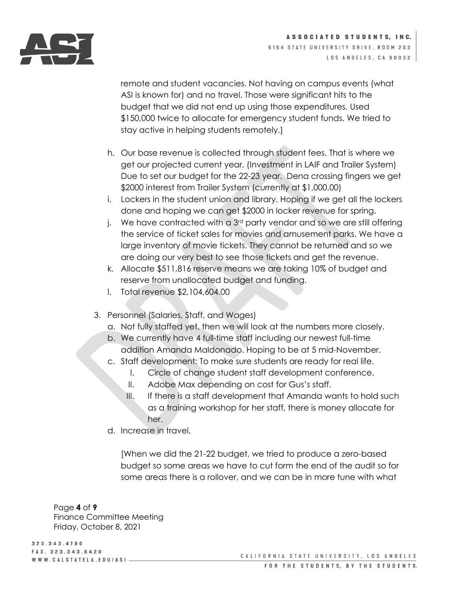

ASSOCIATED STUDENTS, INC. 5154 STATE UNIVERSITY DRIVE. ROOM 203 LOS ANGELES, CA 90032

remote and student vacancies. Not having on campus events (what ASI is known for) and no travel. Those were significant hits to the budget that we did not end up using those expenditures. Used \$150,000 twice to allocate for emergency student funds. We tried to stay active in helping students remotely.]

- h. Our base revenue is collected through student fees. That is where we get our projected current year. (Investment in LAIF and Trailer System) Due to set our budget for the 22-23 year. Dena crossing fingers we get \$2000 interest from Trailer System (currently at \$1,000.00)
- i. Lockers in the student union and library. Hoping if we get all the lockers done and hoping we can get \$2000 in locker revenue for spring.
- j. We have contracted with a  $3<sup>rd</sup>$  party vendor and so we are still offering the service of ticket sales for movies and amusement parks. We have a large inventory of movie tickets. They cannot be returned and so we are doing our very best to see those tickets and get the revenue.
- k. Allocate \$511,816 reserve means we are taking 10% of budget and reserve from unallocated budget and funding.
- l. Total revenue \$2,104,604.00
- 3. Personnel (Salaries, Staff, and Wages)
	- a. Not fully staffed yet, then we will look at the numbers more closely.
	- b. We currently have 4 full-time staff including our newest full-time addition Amanda Maldonado. Hoping to be at 5 mid-November.
	- c. Staff development: To make sure students are ready for real life.
		- I. Circle of change student staff development conference.
		- II. Adobe Max depending on cost for Gus's staff.
		- III. If there is a staff development that Amanda wants to hold such as a training workshop for her staff, there is money allocate for her.
	- d. Increase in travel.

[When we did the 21-22 budget, we tried to produce a zero-based budget so some areas we have to cut form the end of the audit so for some areas there is a rollover, and we can be in more tune with what

Page **4** of **9** Finance Committee Meeting Friday, October 8, 2021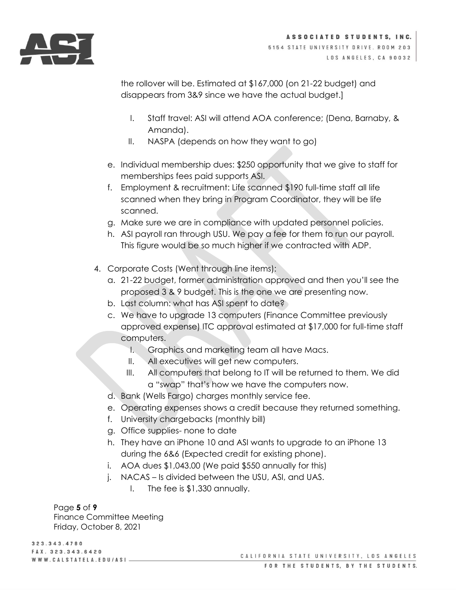

ASSOCIATED STUDENTS, INC. 5154 STATE UNIVERSITY DRIVE. ROOM 203 LOS ANGELES, CA 90032

the rollover will be. Estimated at \$167,000 (on 21-22 budget) and disappears from 3&9 since we have the actual budget.]

- I. Staff travel: ASI will attend AOA conference; (Dena, Barnaby, & Amanda).
- II. NASPA (depends on how they want to go)
- e. Individual membership dues: \$250 opportunity that we give to staff for memberships fees paid supports ASI.
- f. Employment & recruitment: Life scanned \$190 full-time staff all life scanned when they bring in Program Coordinator, they will be life scanned.
- g. Make sure we are in compliance with updated personnel policies.
- h. ASI payroll ran through USU. We pay a fee for them to run our payroll. This figure would be so much higher if we contracted with ADP.
- 4. Corporate Costs (Went through line items):
	- a. 21-22 budget, former administration approved and then you'll see the proposed 3 & 9 budget. This is the one we are presenting now.
	- b. Last column: what has ASI spent to date?
	- c. We have to upgrade 13 computers (Finance Committee previously approved expense) ITC approval estimated at \$17,000 for full-time staff computers.
		- I. Graphics and marketing team all have Macs.
		- II. All executives will get new computers.
		- III. All computers that belong to IT will be returned to them. We did a "swap" that's how we have the computers now.
	- d. Bank (Wells Fargo) charges monthly service fee.
	- e. Operating expenses shows a credit because they returned something.
	- f. University chargebacks (monthly bill)
	- g. Office supplies- none to date
	- h. They have an iPhone 10 and ASI wants to upgrade to an iPhone 13 during the 6&6 (Expected credit for existing phone).
	- i. AOA dues \$1,043.00 (We paid \$550 annually for this)
	- j. NACAS Is divided between the USU, ASI, and UAS.
		- I. The fee is \$1,330 annually.

Page **5** of **9** Finance Committee Meeting Friday, October 8, 2021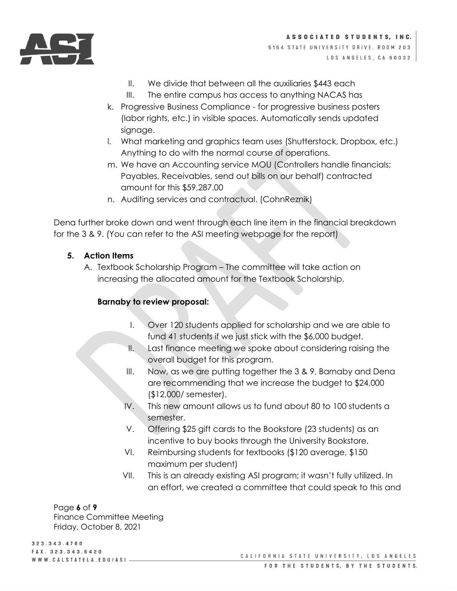

- II. We divide that between all the auxiliaries \$443 each
- III. The entire campus has access to anything NACAS has
- k. Progressive Business Compliance for progressive business posters (labor rights, etc.) in visible spaces. Automatically sends updated signage.
- l. What marketing and graphics team uses (Shutterstock, Dropbox, etc.) Anything to do with the normal course of operations.
- m. We have an Accounting service MOU (Controllers handle financials; Payables, Receivables, send out bills on our behalf) contracted amount for this \$59,287.00
- n. Auditing services and contractual. (CohnReznik)

Dena further broke down and went through each line item in the financial breakdown for the 3 & 9. (You can refer to the ASI meeting webpage for the report)

# **5. Action Items**

A. Textbook Scholarship Program – The committee will take action on increasing the allocated amount for the Textbook Scholarship.

# **Barnaby to review proposal:**

- I. Over 120 students applied for scholarship and we are able to fund 41 students if we just stick with the \$6,000 budget.
- II. Last finance meeting we spoke about considering raising the overall budget for this program.
- III. Now, as we are putting together the 3 & 9, Barnaby and Dena are recommending that we increase the budget to \$24,000 (\$12,000/ semester).
- IV. This new amount allows us to fund about 80 to 100 students a semester.
- V. Offering \$25 gift cards to the Bookstore (23 students) as an incentive to buy books through the University Bookstore.
- VI. Reimbursing students for textbooks (\$120 average, \$150 maximum per student)
- VII. This is an already existing ASI program; it wasn't fully utilized. In an effort, we created a committee that could speak to this and

Page **6** of **9** Finance Committee Meeting Friday, October 8, 2021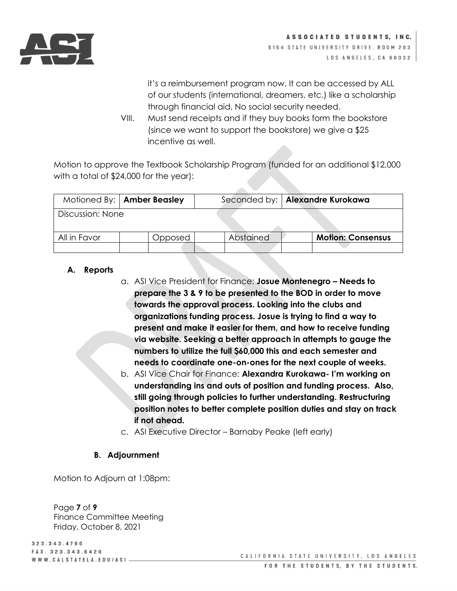

it's a reimbursement program now. It can be accessed by ALL of our students (international, dreamers, etc.) like a scholarship through financial aid. No social security needed.

VIII. Must send receipts and if they buy books form the bookstore (since we want to support the bookstore) we give a \$25 incentive as well.

Motion to approve the Textbook Scholarship Program (funded for an additional \$12,000 with a total of \$24,000 for the year):

|                  | Motioned By:   Amber Beasley |  |           | Seconded by:   Alexandre Kurokawa |
|------------------|------------------------------|--|-----------|-----------------------------------|
| Discussion: None |                              |  |           |                                   |
| All in Favor     | Opposed                      |  | Abstained | <b>Motion: Consensus</b>          |

# **A. Reports**

- a. ASI Vice President for Finance: **Josue Montenegro – Needs to prepare the 3 & 9 to be presented to the BOD in order to move towards the approval process. Looking into the clubs and organizations funding process. Josue is trying to find a way to present and make it easier for them, and how to receive funding via website. Seeking a better approach in attempts to gauge the numbers to utilize the full \$60,000 this and each semester and needs to coordinate one-on-ones for the next couple of weeks.**
- b. ASI Vice Chair for Finance: **Alexandra Kurokawa- I'm working on understanding ins and outs of position and funding process. Also, still going through policies to further understanding. Restructuring position notes to better complete position duties and stay on track if not ahead.**
- c. ASI Executive Director Barnaby Peake (left early)

# **B. Adjournment**

Motion to Adjourn at 1:08pm:

Page **7** of **9** Finance Committee Meeting Friday, October 8, 2021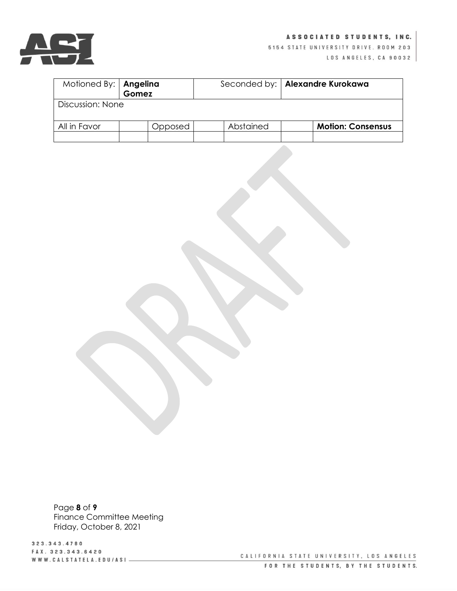

#### ASSOCIATED STUDENTS, INC.

5154 STATE UNIVERSITY DRIVE. ROOM 203

LOS ANGELES, CA 90032

| Motioned By:   Angelina |         |           | Seconded by:   Alexandre Kurokawa |  |  |  |
|-------------------------|---------|-----------|-----------------------------------|--|--|--|
|                         | Gomez   |           |                                   |  |  |  |
| Discussion: None        |         |           |                                   |  |  |  |
|                         |         |           |                                   |  |  |  |
|                         |         |           |                                   |  |  |  |
| All in Favor            | Opposed | Abstained | <b>Motion: Consensus</b>          |  |  |  |
|                         |         |           |                                   |  |  |  |

Page **8** of **9** Finance Committee Meeting Friday, October 8, 2021

3 2 3 . 3 4 3 . 4 7 8 0 FAX. 323.343.6420 WWW.CALSTATELA.EDU/ASI-

CALIFORNIA STATE UNIVERSITY, LOS ANGELES FOR THE STUDENTS, BY THE STUDENTS.